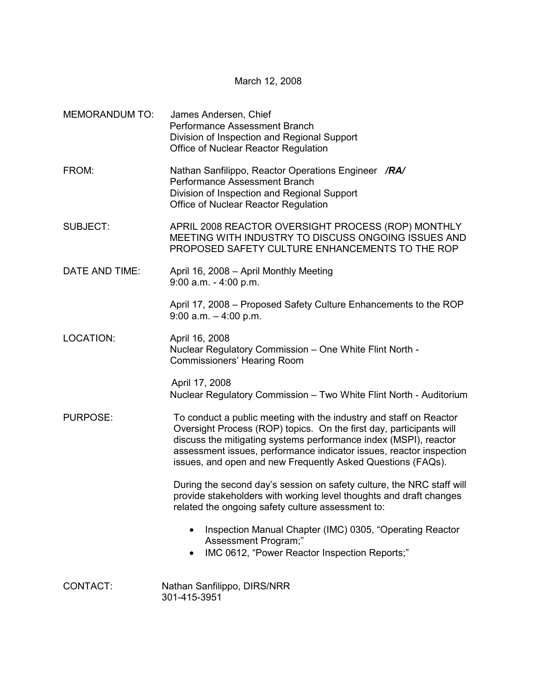March 12, 2008

| <b>MEMORANDUM TO:</b> | James Andersen, Chief<br>Performance Assessment Branch<br>Division of Inspection and Regional Support<br>Office of Nuclear Reactor Regulation                                                                                                                                                                                                       |
|-----------------------|-----------------------------------------------------------------------------------------------------------------------------------------------------------------------------------------------------------------------------------------------------------------------------------------------------------------------------------------------------|
| FROM:                 | Nathan Sanfilippo, Reactor Operations Engineer /RA/<br>Performance Assessment Branch<br>Division of Inspection and Regional Support<br>Office of Nuclear Reactor Regulation                                                                                                                                                                         |
| <b>SUBJECT:</b>       | APRIL 2008 REACTOR OVERSIGHT PROCESS (ROP) MONTHLY<br>MEETING WITH INDUSTRY TO DISCUSS ONGOING ISSUES AND<br>PROPOSED SAFETY CULTURE ENHANCEMENTS TO THE ROP                                                                                                                                                                                        |
| DATE AND TIME:        | April 16, 2008 - April Monthly Meeting<br>$9:00$ a.m. - 4:00 p.m.                                                                                                                                                                                                                                                                                   |
|                       | April 17, 2008 – Proposed Safety Culture Enhancements to the ROP<br>$9:00$ a.m. $-4:00$ p.m.                                                                                                                                                                                                                                                        |
| LOCATION:             | April 16, 2008<br>Nuclear Regulatory Commission - One White Flint North -<br><b>Commissioners' Hearing Room</b>                                                                                                                                                                                                                                     |
|                       | April 17, 2008<br>Nuclear Regulatory Commission - Two White Flint North - Auditorium                                                                                                                                                                                                                                                                |
| <b>PURPOSE:</b>       | To conduct a public meeting with the industry and staff on Reactor<br>Oversight Process (ROP) topics. On the first day, participants will<br>discuss the mitigating systems performance index (MSPI), reactor<br>assessment issues, performance indicator issues, reactor inspection<br>issues, and open and new Frequently Asked Questions (FAQs). |
|                       | During the second day's session on safety culture, the NRC staff will<br>provide stakeholders with working level thoughts and draft changes<br>related the ongoing safety culture assessment to:                                                                                                                                                    |
|                       | Inspection Manual Chapter (IMC) 0305, "Operating Reactor<br>$\bullet$<br>Assessment Program;"<br>IMC 0612, "Power Reactor Inspection Reports;"                                                                                                                                                                                                      |
| CONTACT:              | Nathan Sanfilippo, DIRS/NRR<br>301-415-3951                                                                                                                                                                                                                                                                                                         |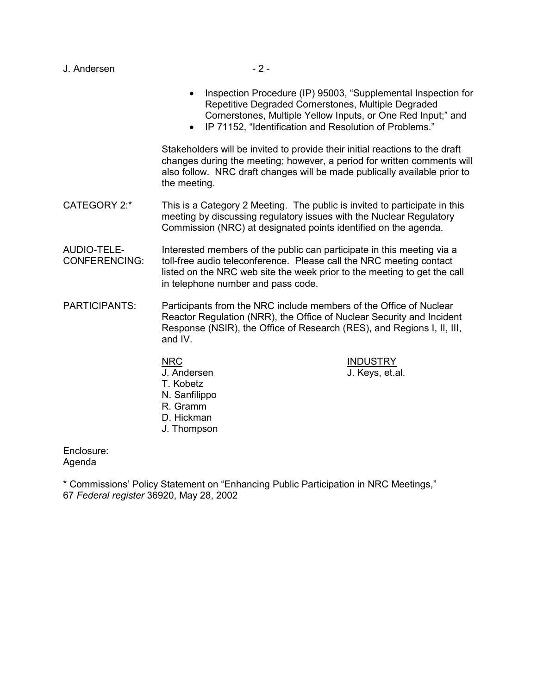| J. Andersen |  |
|-------------|--|
|-------------|--|

- Inspection Procedure (IP) 95003, "Supplemental Inspection for Repetitive Degraded Cornerstones, Multiple Degraded Cornerstones, Multiple Yellow Inputs, or One Red Input;" and
- IP 71152, "Identification and Resolution of Problems."

Stakeholders will be invited to provide their initial reactions to the draft changes during the meeting; however, a period for written comments will also follow. NRC draft changes will be made publically available prior to the meeting.

CATEGORY 2:\* This is a Category 2 Meeting. The public is invited to participate in this meeting by discussing regulatory issues with the Nuclear Regulatory Commission (NRC) at designated points identified on the agenda.

AUDIO-TELE- Interested members of the public can participate in this meeting via a CONFERENCING: toll-free audio teleconference. Please call the NRC meeting contact listed on the NRC web site the week prior to the meeting to get the call in telephone number and pass code.

- PARTICIPANTS: Participants from the NRC include members of the Office of Nuclear Reactor Regulation (NRR), the Office of Nuclear Security and Incident Response (NSIR), the Office of Research (RES), and Regions I, II, III, and IV.
	- NRC INDUSTRY J. Andersen J. Keys, et.al. T. Kobetz N. Sanfilippo R. Gramm D. Hickman J. Thompson

Enclosure: Agenda

\* Commissions' Policy Statement on "Enhancing Public Participation in NRC Meetings," 67 *Federal register* 36920, May 28, 2002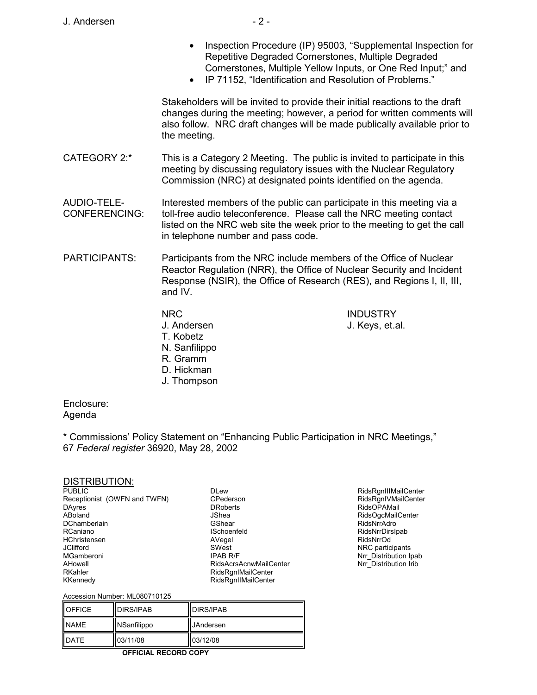- Inspection Procedure (IP) 95003, "Supplemental Inspection for Repetitive Degraded Cornerstones, Multiple Degraded Cornerstones, Multiple Yellow Inputs, or One Red Input;" and
- IP 71152, "Identification and Resolution of Problems."

Stakeholders will be invited to provide their initial reactions to the draft changes during the meeting; however, a period for written comments will also follow. NRC draft changes will be made publically available prior to the meeting.

CATEGORY 2:\* This is a Category 2 Meeting. The public is invited to participate in this meeting by discussing regulatory issues with the Nuclear Regulatory Commission (NRC) at designated points identified on the agenda.

AUDIO-TELE- Interested members of the public can participate in this meeting via a CONFERENCING: toll-free audio teleconference. Please call the NRC meeting contact listed on the NRC web site the week prior to the meeting to get the call in telephone number and pass code.

PARTICIPANTS: Participants from the NRC include members of the Office of Nuclear Reactor Regulation (NRR), the Office of Nuclear Security and Incident Response (NSIR), the Office of Research (RES), and Regions I, II, III, and IV.

> NRC INDUSTRY J. Andersen J. Keys, et.al. T. Kobetz N. Sanfilippo R. Gramm D. Hickman

J. Thompson

Enclosure: Agenda

\* Commissions' Policy Statement on "Enhancing Public Participation in NRC Meetings," 67 *Federal register* 36920, May 28, 2002

### DISTRIBUTION:

**PUBLIC** Receptionist (OWFN and TWFN) DAyres ABoland **DChamberlain** RCaniano **HChristensen** JClifford MGamberoni AHowell RKahler KKennedy

DLew CPederson DRoberts JShea GShear ISchoenfeld AVegel SWest IPAB R/F RidsAcrsAcnwMailCenter RidsRgnIMailCenter RidsRgnIIMailCenter

RidsRgnIIIMailCenter RidsRgnIVMailCenter RidsOPAMail RidsOgcMailCenter RidsNrrAdro RidsNrrDirsIpab RidsNrrOd NRC participants Nrr\_Distribution Ipab Nrr\_Distribution Irib

#### Accession Number: ML080710125

| <b>OFFICE</b> | <b>DIRS/IPAB</b> | <b>IDIRS/IPAB</b> |
|---------------|------------------|-------------------|
| <b>NAME</b>   | NSanfilippo      | <b>JAndersen</b>  |
| <b>DATE</b>   | 03/11/08         | 03/12/08          |

**OFFICIAL RECORD COPY**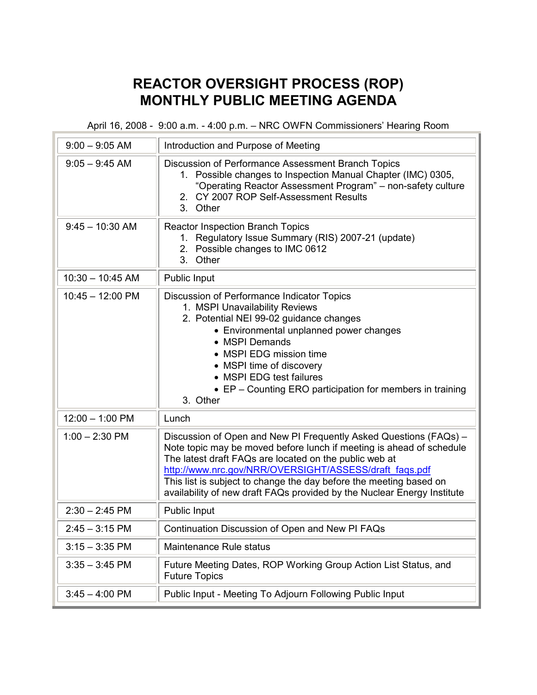# **REACTOR OVERSIGHT PROCESS (ROP) MONTHLY PUBLIC MEETING AGENDA**

April 16, 2008 - 9:00 a.m. - 4:00 p.m. – NRC OWFN Commissioners' Hearing Room

| $9:00 - 9:05$ AM   | Introduction and Purpose of Meeting                                                                                                                                                                                                                                                                                                                                                                            |
|--------------------|----------------------------------------------------------------------------------------------------------------------------------------------------------------------------------------------------------------------------------------------------------------------------------------------------------------------------------------------------------------------------------------------------------------|
| $9:05 - 9:45$ AM   | Discussion of Performance Assessment Branch Topics<br>Possible changes to Inspection Manual Chapter (IMC) 0305,<br>$1_{\cdot}$<br>"Operating Reactor Assessment Program" - non-safety culture<br>2. CY 2007 ROP Self-Assessment Results<br>3. Other                                                                                                                                                            |
| $9:45 - 10:30$ AM  | <b>Reactor Inspection Branch Topics</b><br>1. Regulatory Issue Summary (RIS) 2007-21 (update)<br>2. Possible changes to IMC 0612<br>3. Other                                                                                                                                                                                                                                                                   |
| $10:30 - 10:45$ AM | Public Input                                                                                                                                                                                                                                                                                                                                                                                                   |
| $10:45 - 12:00$ PM | Discussion of Performance Indicator Topics<br>1. MSPI Unavailability Reviews<br>2. Potential NEI 99-02 guidance changes<br>• Environmental unplanned power changes<br>• MSPI Demands<br>• MSPI EDG mission time<br>• MSPI time of discovery<br>• MSPI EDG test failures<br>• EP – Counting ERO participation for members in training<br>3. Other                                                               |
| $12:00 - 1:00$ PM  | Lunch                                                                                                                                                                                                                                                                                                                                                                                                          |
| $1:00 - 2:30$ PM   | Discussion of Open and New PI Frequently Asked Questions (FAQs) -<br>Note topic may be moved before lunch if meeting is ahead of schedule<br>The latest draft FAQs are located on the public web at<br>http://www.nrc.gov/NRR/OVERSIGHT/ASSESS/draft faqs.pdf<br>This list is subject to change the day before the meeting based on<br>availability of new draft FAQs provided by the Nuclear Energy Institute |
| $2:30 - 2:45$ PM   | Public Input                                                                                                                                                                                                                                                                                                                                                                                                   |
| $2:45 - 3:15$ PM   | Continuation Discussion of Open and New PI FAQs                                                                                                                                                                                                                                                                                                                                                                |
| $3:15 - 3:35$ PM   | Maintenance Rule status                                                                                                                                                                                                                                                                                                                                                                                        |
| $3:35 - 3:45$ PM   | Future Meeting Dates, ROP Working Group Action List Status, and<br><b>Future Topics</b>                                                                                                                                                                                                                                                                                                                        |
| $3:45 - 4:00$ PM   | Public Input - Meeting To Adjourn Following Public Input                                                                                                                                                                                                                                                                                                                                                       |